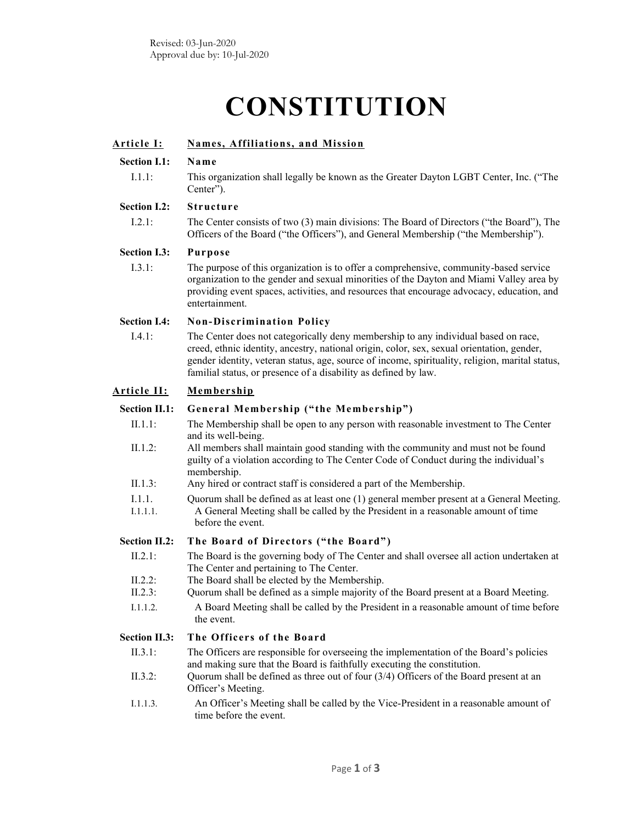# **CONSTITUTION**

| <u> Article I:</u>   | Names, Affiliations, and Mission                                                                                                                                                                                                                                                                                                                       |  |
|----------------------|--------------------------------------------------------------------------------------------------------------------------------------------------------------------------------------------------------------------------------------------------------------------------------------------------------------------------------------------------------|--|
| <b>Section I.1:</b>  | Name                                                                                                                                                                                                                                                                                                                                                   |  |
| I.1.1:               | This organization shall legally be known as the Greater Dayton LGBT Center, Inc. ("The<br>Center").                                                                                                                                                                                                                                                    |  |
| <b>Section I.2:</b>  | <b>Structure</b>                                                                                                                                                                                                                                                                                                                                       |  |
| 1.2.1:               | The Center consists of two (3) main divisions: The Board of Directors ("the Board"), The<br>Officers of the Board ("the Officers"), and General Membership ("the Membership").                                                                                                                                                                         |  |
| <b>Section I.3:</b>  | <b>Purpose</b>                                                                                                                                                                                                                                                                                                                                         |  |
| 1.3.1:               | The purpose of this organization is to offer a comprehensive, community-based service<br>organization to the gender and sexual minorities of the Dayton and Miami Valley area by<br>providing event spaces, activities, and resources that encourage advocacy, education, and<br>entertainment.                                                        |  |
| <b>Section I.4:</b>  | <b>Non-Discrimination Policy</b>                                                                                                                                                                                                                                                                                                                       |  |
| I.4.1:               | The Center does not categorically deny membership to any individual based on race,<br>creed, ethnic identity, ancestry, national origin, color, sex, sexual orientation, gender,<br>gender identity, veteran status, age, source of income, spirituality, religion, marital status,<br>familial status, or presence of a disability as defined by law. |  |
| <u>Article II:</u>   | Membership                                                                                                                                                                                                                                                                                                                                             |  |
| <b>Section II.1:</b> | General Membership ("the Membership")                                                                                                                                                                                                                                                                                                                  |  |
| $II.1.1$ :           | The Membership shall be open to any person with reasonable investment to The Center<br>and its well-being.                                                                                                                                                                                                                                             |  |
| $II.1.2$ :           | All members shall maintain good standing with the community and must not be found<br>guilty of a violation according to The Center Code of Conduct during the individual's<br>membership.                                                                                                                                                              |  |
| II.1.3:              | Any hired or contract staff is considered a part of the Membership.                                                                                                                                                                                                                                                                                    |  |
| I.1.1.<br>I.1.1.1.   | Quorum shall be defined as at least one (1) general member present at a General Meeting.<br>A General Meeting shall be called by the President in a reasonable amount of time<br>before the event.                                                                                                                                                     |  |
| <b>Section II.2:</b> | The Board of Directors ("the Board")                                                                                                                                                                                                                                                                                                                   |  |
| II.2.1:              | The Board is the governing body of The Center and shall oversee all action undertaken at<br>The Center and pertaining to The Center.                                                                                                                                                                                                                   |  |
| $II.2.2$ :           | The Board shall be elected by the Membership.                                                                                                                                                                                                                                                                                                          |  |
| II.2.3:              | Quorum shall be defined as a simple majority of the Board present at a Board Meeting.<br>A Board Meeting shall be called by the President in a reasonable amount of time before                                                                                                                                                                        |  |
| I.1.1.2.             | the event.                                                                                                                                                                                                                                                                                                                                             |  |
| <b>Section II.3:</b> | The Officers of the Board                                                                                                                                                                                                                                                                                                                              |  |
| II.3.1:              | The Officers are responsible for overseeing the implementation of the Board's policies                                                                                                                                                                                                                                                                 |  |
| II.3.2:              | and making sure that the Board is faithfully executing the constitution.<br>Quorum shall be defined as three out of four (3/4) Officers of the Board present at an<br>Officer's Meeting.                                                                                                                                                               |  |
| I.1.1.3.             | An Officer's Meeting shall be called by the Vice-President in a reasonable amount of<br>time before the event.                                                                                                                                                                                                                                         |  |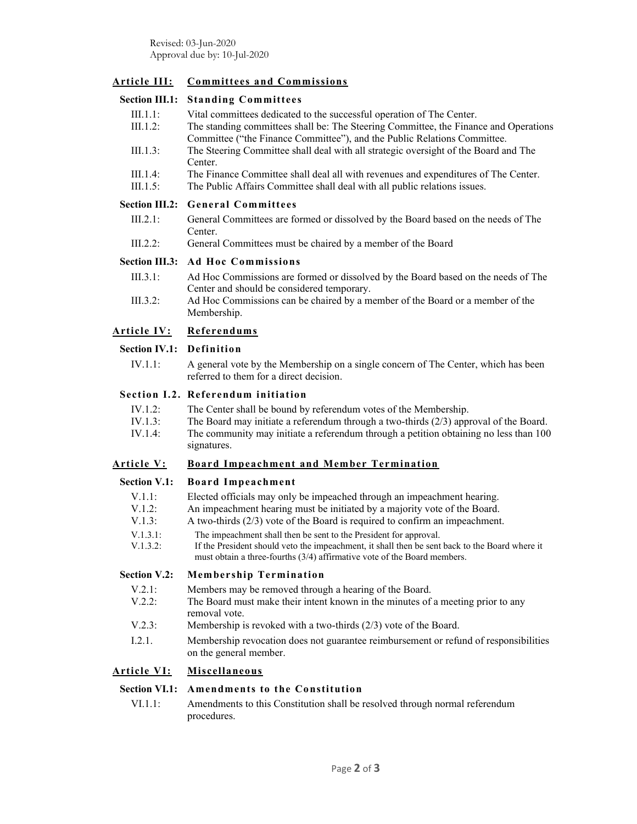# **Article III: Committees and Commissions**

# **Section III.1: Standing Committees**

III.1.1: Vital committees dedicated to the successful operation of The Center. III.1.2: The standing committees shall be: The Steering Committee, the Finance and Operations Committee ("the Finance Committee"), and the Public Relations Committee. III.1.3: The Steering Committee shall deal with all strategic oversight of the Board and The Center. III.1.4: The Finance Committee shall deal all with revenues and expenditures of The Center. III.1.5: The Public Affairs Committee shall deal with all public relations issues.

#### **Section III.2: General Committees**

- III.2.1: General Committees are formed or dissolved by the Board based on the needs of The Center.
- III.2.2: General Committees must be chaired by a member of the Board

#### **Section III.3: Ad Hoc Commissions**

- III.3.1: Ad Hoc Commissions are formed or dissolved by the Board based on the needs of The Center and should be considered temporary.
- III.3.2: Ad Hoc Commissions can be chaired by a member of the Board or a member of the Membership.

#### **Article IV: Referendums**

#### **Section IV.1: Definition**

IV.1.1: A general vote by the Membership on a single concern of The Center, which has been referred to them for a direct decision.

#### **Section I.2. Referendum initiation**

- IV.1.2: The Center shall be bound by referendum votes of the Membership.
- IV.1.3: The Board may initiate a referendum through a two-thirds (2/3) approval of the Board. IV.1.4: The community may initiate a referendum through a petition obtaining no less than 100 signatures.

### **Article V: Board Impeachment and Member Termination**

### **Section V.1: Board Impeachment**

- V.1.1: Elected officials may only be impeached through an impeachment hearing.
- V.1.2: An impeachment hearing must be initiated by a majority vote of the Board.
- V.1.3: A two-thirds (2/3) vote of the Board is required to confirm an impeachment.
- V.1.3.1: The impeachment shall then be sent to the President for approval.
- V.1.3.2: If the President should veto the impeachment, it shall then be sent back to the Board where it must obtain a three-fourths (3/4) affirmative vote of the Board members.

#### **Section V.2: Membership Termination**

- V.2.1: Members may be removed through a hearing of the Board.
- V.2.2: The Board must make their intent known in the minutes of a meeting prior to any removal vote.
- V.2.3: Membership is revoked with a two-thirds (2/3) vote of the Board.
- I.2.1. Membership revocation does not guarantee reimbursement or refund of responsibilities on the general member.

# **Article VI: Miscellaneous**

### **Section VI.1: Amendments to the Constitution**

VI.1.1: Amendments to this Constitution shall be resolved through normal referendum procedures.